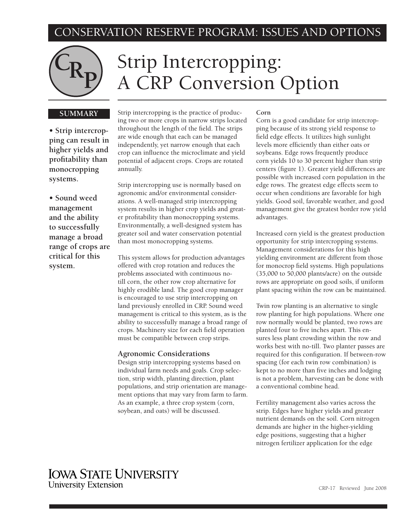## CONSERVATION RESERVE PROGRAM: ISSUES AND OPTIONS



# C<sub>Rp</sub> Strip Intercropping:<br>
A CRP Conversion Option

#### **SUMMARY**

**• Strip intercropping can result in higher yields and profitability than monocropping systems.**

**• Sound weed management and the ability to successfully manage a broad range of crops are critical for this system.**

Strip intercropping is the practice of producing two or more crops in narrow strips located throughout the length of the field. The strips are wide enough that each can be managed independently, yet narrow enough that each crop can influence the microclimate and yield potential of adjacent crops. Crops are rotated annually.

Strip intercropping use is normally based on agronomic and/or environmental considerations. A well-managed strip intercropping system results in higher crop yields and greater profitability than monocropping systems. Environmentally, a well-designed system has greater soil and water conservation potential than most monocropping systems.

This system allows for production advantages offered with crop rotation and reduces the problems associated with continuous notill corn, the other row crop alternative for highly erodible land. The good crop manager is encouraged to use strip intercropping on land previously enrolled in CRP. Sound weed management is critical to this system, as is the ability to successfully manage a broad range of crops. Machinery size for each field operation must be compatible between crop strips.

#### **Agronomic Considerations**

Design strip intercropping systems based on individual farm needs and goals. Crop selection, strip width, planting direction, plant populations, and strip orientation are management options that may vary from farm to farm. As an example, a three crop system (corn, soybean, and oats) will be discussed.

#### **Corn**

Corn is a good candidate for strip intercropping because of its strong yield response to field edge effects. It utilizes high sunlight levels more efficiently than either oats or soybeans. Edge rows frequently produce corn yields 10 to 30 percent higher than strip centers (figure 1). Greater yield differences are possible with increased corn population in the edge rows. The greatest edge effects seem to occur when conditions are favorable for high yields. Good soil, favorable weather, and good management give the greatest border row yield advantages.

Increased corn yield is the greatest production opportunity for strip intercropping systems. Management considerations for this high yielding environment are different from those for monocrop field systems. High populations (35,000 to 50,000 plants/acre) on the outside rows are appropriate on good soils, if uniform plant spacing within the row can be maintained.

Twin row planting is an alternative to single row planting for high populations. Where one row normally would be planted, two rows are planted four to five inches apart. This ensures less plant crowding within the row and works best with no-till. Two planter passes are required for this configuration. If between-row spacing (for each twin row combination) is kept to no more than five inches and lodging is not a problem, harvesting can be done with a conventional combine head.

Fertility management also varies across the strip. Edges have higher yields and greater nutrient demands on the soil. Corn nitrogen demands are higher in the higher-yielding edge positions, suggesting that a higher nitrogen fertilizer application for the edge

### **IOWA STATE UNIVERSITY University Extension**

CRP-17 Reviewed June 2008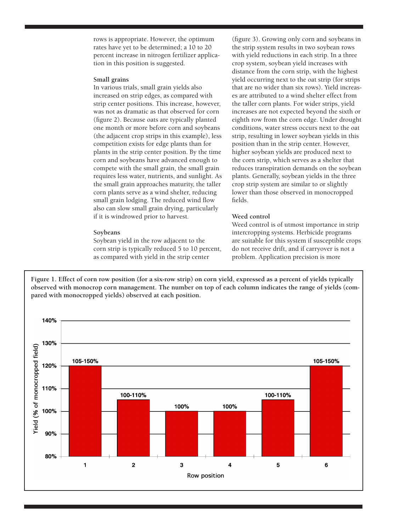rows is appropriate. However, the optimum rates have yet to be determined; a 10 to 20 percent increase in nitrogen fertilizer application in this position is suggested.

#### **Small grains**

In various trials, small grain yields also increased on strip edges, as compared with strip center positions. This increase, however, was not as dramatic as that observed for corn (figure 2). Because oats are typically planted one month or more before corn and soybeans (the adjacent crop strips in this example), less competition exists for edge plants than for plants in the strip center position. By the time corn and soybeans have advanced enough to compete with the small grain, the small grain requires less water, nutrients, and sunlight. As the small grain approaches maturity, the taller corn plants serve as a wind shelter, reducing small grain lodging. The reduced wind flow also can slow small grain drying, particularly if it is windrowed prior to harvest.

#### **Soybeans**

Soybean yield in the row adjacent to the corn strip is typically reduced 5 to 10 percent, as compared with yield in the strip center

(figure 3). Growing only corn and soybeans in the strip system results in two soybean rows with yield reductions in each strip. In a three crop system, soybean yield increases with distance from the corn strip, with the highest yield occurring next to the oat strip (for strips that are no wider than six rows). Yield increases are attributed to a wind shelter effect from the taller corn plants. For wider strips, yield increases are not expected beyond the sixth or eighth row from the corn edge. Under drought conditions, water stress occurs next to the oat strip, resulting in lower soybean yields in this position than in the strip center. However, higher soybean yields are produced next to the corn strip, which serves as a shelter that reduces transpiration demands on the soybean plants. Generally, soybean yields in the three crop strip system are similar to or slightly lower than those observed in monocropped fields.

#### **Weed control**

Weed control is of utmost importance in strip intercropping systems. Herbicide programs are suitable for this system if susceptible crops do not receive drift, and if carryover is not a problem. Application precision is more

**Figure 1. Effect of corn row position (for a six-row strip) on corn yield, expressed as a percent of yields typically observed with monocrop corn management. The number on top of each column indicates the range of yields (compared with monocropped yields) observed at each position.**

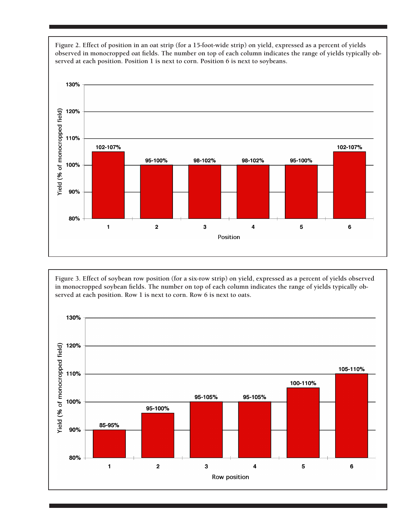

**Figure 3. Effect of soybean row position (for a six-row strip) on yield, expressed as a percent of yields observed in monocropped soybean fields. The number on top of each column indicates the range of yields typically observed at each position. Row 1 is next to corn. Row 6 is next to oats.**



**Figure 2. Effect of position in an oat strip (for a 15-foot-wide strip) on yield, expressed as a percent of yields observed in monocropped oat fields. The number on top of each column indicates the range of yields typically observed at each position. Position 1 is next to corn. Position 6 is next to soybeans.**